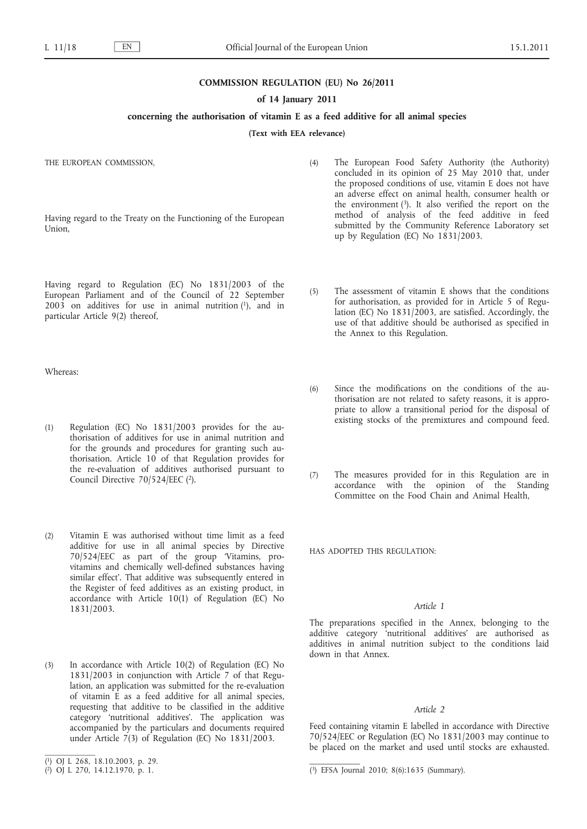#### **COMMISSION REGULATION (EU) No 26/2011**

### **of 14 January 2011**

# **concerning the authorisation of vitamin E as a feed additive for all animal species**

**(Text with EEA relevance)**

THE EUROPEAN COMMISSION,

Having regard to the Treaty on the Functioning of the European Union,

Having regard to Regulation (EC) No 1831/2003 of the European Parliament and of the Council of 22 September  $2003$  on additives for use in animal nutrition  $(1)$ , and in particular Article 9(2) thereof,

Whereas:

- (1) Regulation (EC) No 1831/2003 provides for the authorisation of additives for use in animal nutrition and for the grounds and procedures for granting such authorisation. Article 10 of that Regulation provides for the re-evaluation of additives authorised pursuant to Council Directive 70/524/EEC (2).
- (2) Vitamin E was authorised without time limit as a feed additive for use in all animal species by Directive 70/524/EEC as part of the group 'Vitamins, provitamins and chemically well-defined substances having similar effect'. That additive was subsequently entered in the Register of feed additives as an existing product, in accordance with Article 10(1) of Regulation (EC) No 1831/2003.
- (3) In accordance with Article 10(2) of Regulation (EC) No 1831/2003 in conjunction with Article 7 of that Regulation, an application was submitted for the re-evaluation of vitamin E as a feed additive for all animal species, requesting that additive to be classified in the additive category 'nutritional additives'. The application was accompanied by the particulars and documents required under Article  $7(3)$  of Regulation (EC) No 1831/2003.
- (4) The European Food Safety Authority (the Authority) concluded in its opinion of 25 May 2010 that, under the proposed conditions of use, vitamin E does not have an adverse effect on animal health, consumer health or the environment  $(3)$ . It also verified the report on the method of analysis of the feed additive in feed submitted by the Community Reference Laboratory set up by Regulation (EC) No 1831/2003.
- (5) The assessment of vitamin E shows that the conditions for authorisation, as provided for in Article 5 of Regulation (EC) No 1831/2003, are satisfied. Accordingly, the use of that additive should be authorised as specified in the Annex to this Regulation.
- (6) Since the modifications on the conditions of the authorisation are not related to safety reasons, it is appropriate to allow a transitional period for the disposal of existing stocks of the premixtures and compound feed.
- (7) The measures provided for in this Regulation are in accordance with the opinion of the Standing Committee on the Food Chain and Animal Health,

HAS ADOPTED THIS REGULATION:

### *Article 1*

The preparations specified in the Annex, belonging to the additive category 'nutritional additives' are authorised as additives in animal nutrition subject to the conditions laid down in that Annex.

#### *Article 2*

Feed containing vitamin E labelled in accordance with Directive 70/524/EEC or Regulation (EC) No 1831/2003 may continue to be placed on the market and used until stocks are exhausted.

<sup>(</sup> 1) OJ L 268, 18.10.2003, p. 29.

 $(2)$  OJ L 270, 14.12.1970, p. 1.

 $(3)$  EFSA Journal 2010; 8(6):1635 (Summary).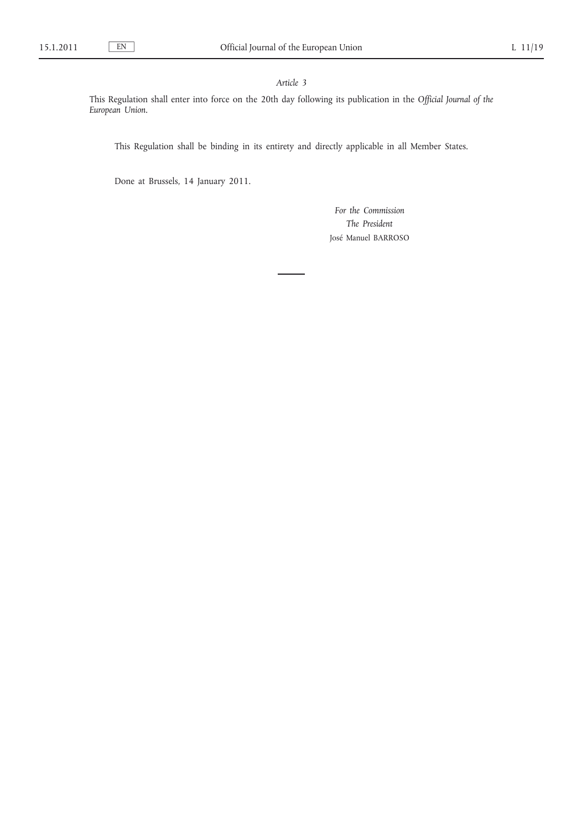# *Article 3*

This Regulation shall enter into force on the 20th day following its publication in the *Official Journal of the European Union*.

This Regulation shall be binding in its entirety and directly applicable in all Member States.

Done at Brussels, 14 January 2011.

*For the Commission The President* José Manuel BARROSO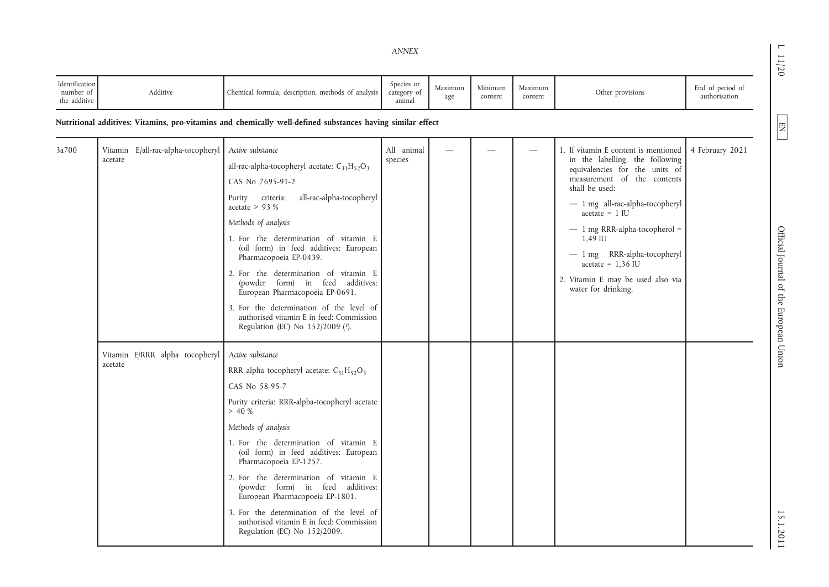| Identification<br>number of<br>the additive | Additive                                      | Chemical formula, description, methods of analysis                                                                                                                                                                                                                                                                                                                                                                                                                                                                                             | Species or<br>category of<br>animal | Maximum<br>age | Minimum<br>content | Maximum<br>content       | Other provisions                                                                                                                                                                                                                                                                                                                                                                   | End of period of<br>authorisation |
|---------------------------------------------|-----------------------------------------------|------------------------------------------------------------------------------------------------------------------------------------------------------------------------------------------------------------------------------------------------------------------------------------------------------------------------------------------------------------------------------------------------------------------------------------------------------------------------------------------------------------------------------------------------|-------------------------------------|----------------|--------------------|--------------------------|------------------------------------------------------------------------------------------------------------------------------------------------------------------------------------------------------------------------------------------------------------------------------------------------------------------------------------------------------------------------------------|-----------------------------------|
|                                             |                                               | Nutritional additives: Vitamins, pro-vitamins and chemically well-defined substances having similar effect                                                                                                                                                                                                                                                                                                                                                                                                                                     |                                     |                |                    |                          |                                                                                                                                                                                                                                                                                                                                                                                    |                                   |
| 3a700                                       | Vitamin E/all-rac-alpha-tocopheryl<br>acetate | Active substance<br>all-rac-alpha-tocopheryl acetate: $C_{31}H_{52}O_3$<br>CAS No 7695-91-2<br>all-rac-alpha-tocopheryl<br>Purity criteria:<br>acetate $> 93%$<br>Methods of analysis<br>1. For the determination of vitamin E<br>(oil form) in feed additives: European<br>Pharmacopoeia EP-0439.<br>2. For the determination of vitamin E<br>(powder form) in feed additives:<br>European Pharmacopoeia EP-0691.<br>3. For the determination of the level of<br>authorised vitamin E in feed: Commission<br>Regulation (EC) No 152/2009 (1). | All animal<br>species               |                |                    | $\overline{\phantom{a}}$ | 1. If vitamin E content is mentioned<br>in the labelling, the following<br>equivalencies for the units of<br>measurement of the contents<br>shall be used:<br>$-1$ mg all-rac-alpha-tocopheryl<br>$acetate = 1$ IU<br>$-1$ mg RRR-alpha-tocopherol =<br>1,49 IU<br>$-1$ mg RRR-alpha-tocopheryl<br>$acetate = 1,36$ IU<br>2. Vitamin E may be used also via<br>water for drinking. | 4 February 2021                   |
|                                             | Vitamin E/RRR alpha tocopheryl<br>acetate     | Active substance<br>RRR alpha tocopheryl acetate: $C_{31}H_{52}O_3$<br>CAS No 58-95-7<br>Purity criteria: RRR-alpha-tocopheryl acetate<br>> 40%<br>Methods of analysis<br>1. For the determination of vitamin E<br>(oil form) in feed additives: European<br>Pharmacopoeia EP-1257.<br>2. For the determination of vitamin E<br>(powder form) in feed additives:<br>European Pharmacopoeia EP-1801.<br>3. For the determination of the level of<br>authorised vitamin E in feed: Commission<br>Regulation (EC) No 152/2009.                    |                                     |                |                    |                          |                                                                                                                                                                                                                                                                                                                                                                                    |                                   |

L 11/20 Official Journal of the European Union 15.1.2011 20.1.2011 15.1.2011 20.1.2011 15.1.2011 20.1.2011 20. Official Journal of the European Union

15.1.2011

 $11/20$ 

 $\boxed{\phantom{\begin{bmatrix}1\end{bmatrix}}}$